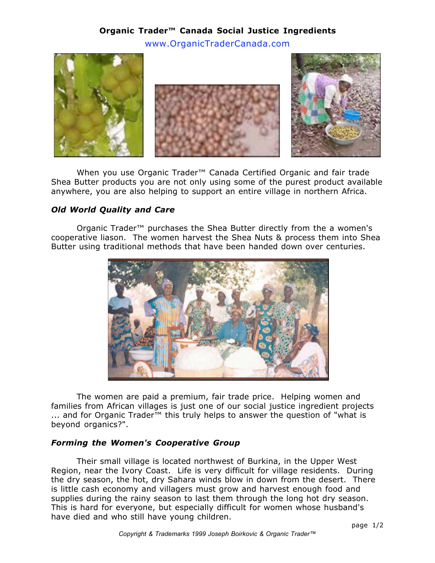# **Organic Trader™ Canada Social Justice Ingredients** www.OrganicTraderCanada.com



When you use Organic Trader<sup>™</sup> Canada Certified Organic and fair trade Shea Butter products you are not only using some of the purest product available anywhere, you are also helping to support an entire village in northern Africa.

### *Old World Quality and Care*

Organic Trader™ purchases the Shea Butter directly from the a women's cooperative liason. The women harvest the Shea Nuts & process them into Shea Butter using traditional methods that have been handed down over centuries.



The women are paid a premium, fair trade price. Helping women and families from African villages is just one of our social justice ingredient projects ... and for Organic Trader<sup>™</sup> this truly helps to answer the question of "what is beyond organics?".

#### *Forming the Women's Cooperative Group*

Their small village is located northwest of Burkina, in the Upper West Region, near the Ivory Coast. Life is very difficult for village residents. During the dry season, the hot, dry Sahara winds blow in down from the desert. There is little cash economy and villagers must grow and harvest enough food and supplies during the rainy season to last them through the long hot dry season. This is hard for everyone, but especially difficult for women whose husband's have died and who still have young children.